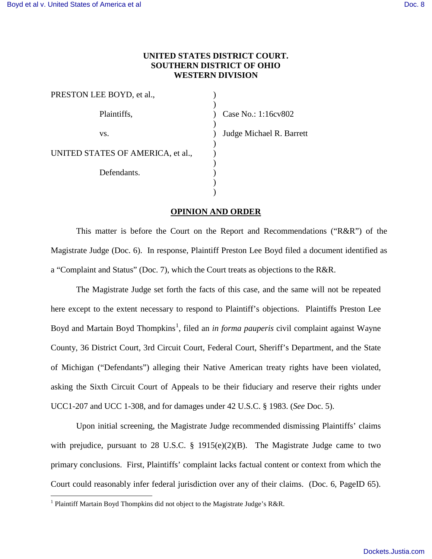## **UNITED STATES DISTRICT COURT. SOUTHERN DISTRICT OF OHIO WESTERN DIVISION**

| Case No.: 1:16cv802      |
|--------------------------|
| Judge Michael R. Barrett |
|                          |
|                          |
|                          |
|                          |

## **OPINION AND ORDER**

This matter is before the Court on the Report and Recommendations ("R&R") of the Magistrate Judge (Doc. 6). In response, Plaintiff Preston Lee Boyd filed a document identified as a "Complaint and Status" (Doc. 7), which the Court treats as objections to the R&R.

The Magistrate Judge set forth the facts of this case, and the same will not be repeated here except to the extent necessary to respond to Plaintiff's objections. Plaintiffs Preston Lee Boyd and Martain Boyd Thompkins<sup>[1](#page-0-0)</sup>, filed an *in forma pauperis* civil complaint against Wayne County, 36 District Court, 3rd Circuit Court, Federal Court, Sheriff's Department, and the State of Michigan ("Defendants") alleging their Native American treaty rights have been violated, asking the Sixth Circuit Court of Appeals to be their fiduciary and reserve their rights under UCC1-207 and UCC 1-308, and for damages under 42 U.S.C. § 1983. (*See* Doc. 5).

Upon initial screening, the Magistrate Judge recommended dismissing Plaintiffs' claims with prejudice, pursuant to 28 U.S.C. § 1915(e)(2)(B). The Magistrate Judge came to two primary conclusions. First, Plaintiffs' complaint lacks factual content or context from which the Court could reasonably infer federal jurisdiction over any of their claims. (Doc. 6, PageID 65).

 $\overline{a}$ 

<span id="page-0-0"></span><sup>&</sup>lt;sup>1</sup> Plaintiff Martain Boyd Thompkins did not object to the Magistrate Judge's R&R.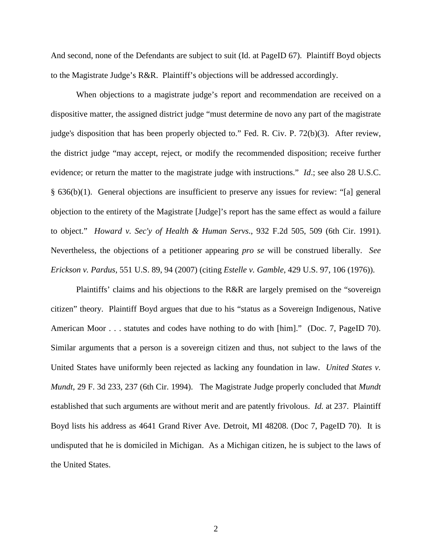And second, none of the Defendants are subject to suit (Id. at PageID 67). Plaintiff Boyd objects to the Magistrate Judge's R&R. Plaintiff's objections will be addressed accordingly.

When objections to a magistrate judge's report and recommendation are received on a dispositive matter, the assigned district judge "must determine de novo any part of the magistrate judge's disposition that has been properly objected to." Fed. R. Civ. P. 72(b)(3). After review, the district judge "may accept, reject, or modify the recommended disposition; receive further evidence; or return the matter to the magistrate judge with instructions." *Id*.; see also 28 U.S.C. § 636(b)(1). General objections are insufficient to preserve any issues for review: "[a] general objection to the entirety of the Magistrate [Judge]'s report has the same effect as would a failure to object." *Howard v. Sec'y of Health & Human Servs*., 932 F.2d 505, 509 (6th Cir. 1991). Nevertheless, the objections of a petitioner appearing *pro se* will be construed liberally. *See Erickson v. Pardus,* 551 U.S. 89, 94 (2007) (citing *Estelle v. Gamble*, 429 U.S. 97, 106 (1976)).

Plaintiffs' claims and his objections to the R&R are largely premised on the "sovereign citizen" theory. Plaintiff Boyd argues that due to his "status as a Sovereign Indigenous, Native American Moor . . . statutes and codes have nothing to do with [him]." (Doc. 7, PageID 70). Similar arguments that a person is a sovereign citizen and thus, not subject to the laws of the United States have uniformly been rejected as lacking any foundation in law. *United States v. Mundt*, 29 F. 3d 233, 237 (6th Cir. 1994). The Magistrate Judge properly concluded that *Mundt* established that such arguments are without merit and are patently frivolous. *Id.* at 237. Plaintiff Boyd lists his address as 4641 Grand River Ave. Detroit, MI 48208. (Doc 7, PageID 70). It is undisputed that he is domiciled in Michigan. As a Michigan citizen, he is subject to the laws of the United States.